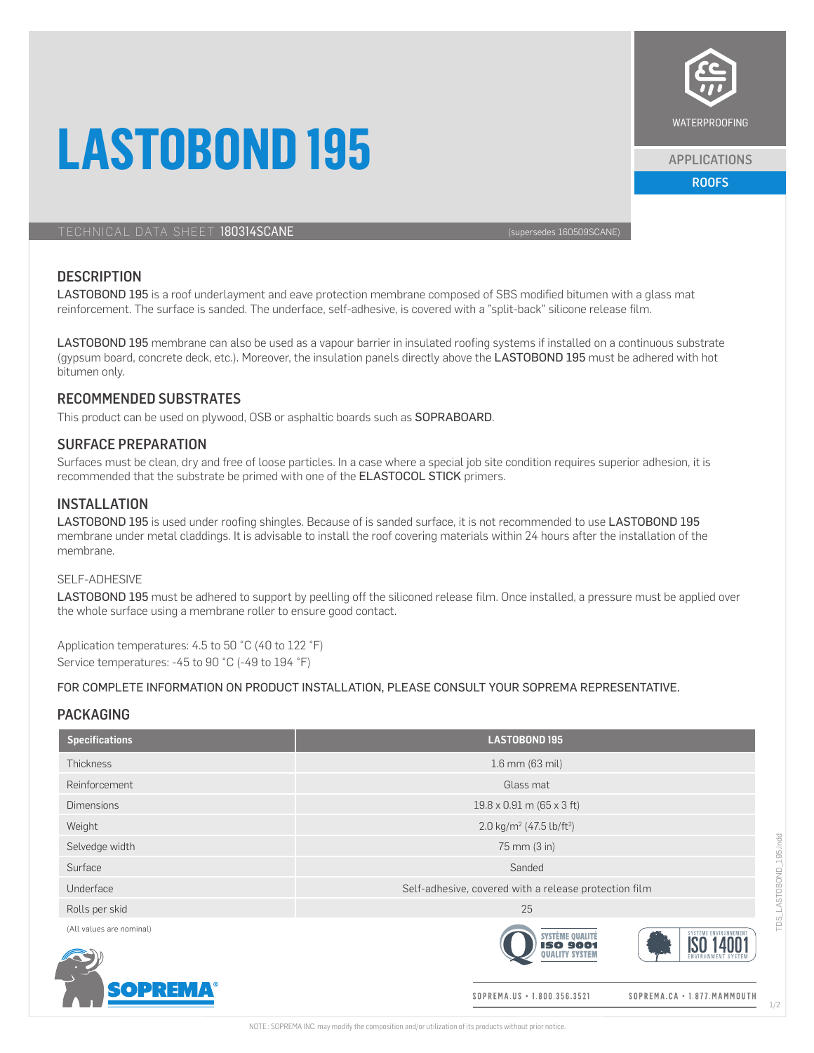# **LASTOBOND 195**



ROOFS APPLICATIONS

WATERPROOFING

### **DESCRIPTION**

LASTOBOND 195 is a roof underlayment and eave protection membrane composed of SBS modified bitumen with a glass mat reinforcement. The surface is sanded. The underface, self-adhesive, is covered with a "split-back" silicone release film.

LASTOBOND 195 membrane can also be used as a vapour barrier in insulated roofing systems if installed on a continuous substrate (gypsum board, concrete deck, etc.). Moreover, the insulation panels directly above the LASTOBOND 195 must be adhered with hot bitumen only.

#### RECOMMENDED SUBSTRATES

This product can be used on plywood, OSB or asphaltic boards such as SOPRABOARD.

### SURFACE PREPARATION

Surfaces must be clean, dry and free of loose particles. In a case where a special job site condition requires superior adhesion, it is recommended that the substrate be primed with one of the ELASTOCOL STICK primers.

# **INSTALLATION**

LASTOBOND 195 is used under roofing shingles. Because of is sanded surface, it is not recommended to use LASTOBOND 195 membrane under metal claddings. It is advisable to install the roof covering materials within 24 hours after the installation of the membrane.

#### SELF-ADHESIVE

LASTOBOND 195 must be adhered to support by peelling off the siliconed release film. Once installed, a pressure must be applied over the whole surface using a membrane roller to ensure good contact.

Application temperatures: 4.5 to 50 °C (40 to 122 °F) Service temperatures: -45 to 90 °C (-49 to 194 °F)

#### FOR COMPLETE INFORMATION ON PRODUCT INSTALLATION, PLEASE CONSULT YOUR SOPREMA REPRESENTATIVE.

#### PACKAGING

| <b>Specifications</b>    | <b>LASTOBOND195</b>                                                                                  |  |
|--------------------------|------------------------------------------------------------------------------------------------------|--|
| <b>Thickness</b>         | 1.6 mm (63 mil)                                                                                      |  |
| Reinforcement            | Glass mat                                                                                            |  |
| <b>Dimensions</b>        | $19.8 \times 0.91$ m (65 x 3 ft)                                                                     |  |
| Weight                   | 2.0 kg/m <sup>2</sup> (47.5 lb/ft <sup>2</sup> )                                                     |  |
| Selvedge width           | 75 mm (3 in)                                                                                         |  |
| Surface                  | Sanded                                                                                               |  |
| Underface                | Self-adhesive, covered with a release protection film                                                |  |
| Rolls per skid           | 25                                                                                                   |  |
| (All values are nominal) | SYSTÈME ENVIRONNEMEN<br>SYSTÈME QUALITÉ<br><b>ISO 9001</b><br><b>DUALITY SYSTEM</b><br><b>ENVIRO</b> |  |
| <b>SOPREMA®</b>          | SOPREMA.US • 1.800.356.3521<br>SOPREMA.CA . 1.877. MAMMOUTH                                          |  |



1/2

SOPREMA.CA · 1.877. MAMMOUTH